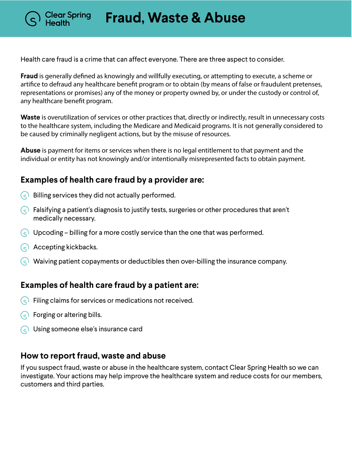**Fraud, Waste & Abuse**

Health care fraud is a crime that can affect everyone. There are three aspect to consider.

**Fraud** is generally defined as knowingly and willfully executing, or attempting to execute, a scheme or artifice to defraud any healthcare benefit program or to obtain (by means of false or fraudulent pretenses, representations or promises) any of the money or property owned by, or under the custody or control of, any healthcare benefit program.

**Waste** is overutilization of services or other practices that, directly or indirectly, result in unnecessary costs to the healthcare system, including the Medicare and Medicaid programs. It is not generally considered to be caused by criminally negligent actions, but by the misuse of resources.

**Abuse** is payment for items or services when there is no legal entitlement to that payment and the individual or entity has not knowingly and/or intentionally misrepresented facts to obtain payment.

## **Examples of health care fraud by a provider are:**

- $\overline{S}(s)$  Billing services they did not actually performed.
- $\Diamond$  Falsifying a patient's diagnosis to justify tests, surgeries or other procedures that aren't medically necessary.
- $\left(\begin{matrix} 1 & 1 \end{matrix}\right)$  Upcoding billing for a more costly service than the one that was performed.
- $\left(\begin{matrix} 1 & 1 \end{matrix}\right)$  Accepting kickbacks.

Clear Spring

 $\varsigma$  Waiving patient copayments or deductibles then over-billing the insurance company.

## **Examples of health care fraud by a patient are:**

- $\varsigma$  Filing claims for services or medications not received.
- $\bigcirc$  Forging or altering bills.
- Using someone else's insurance card

## **How to report fraud, waste and abuse**

If you suspect fraud, waste or abuse in the healthcare system, contact Clear Spring Health so we can investigate. Your actions may help improve the healthcare system and reduce costs for our members, customers and third parties.